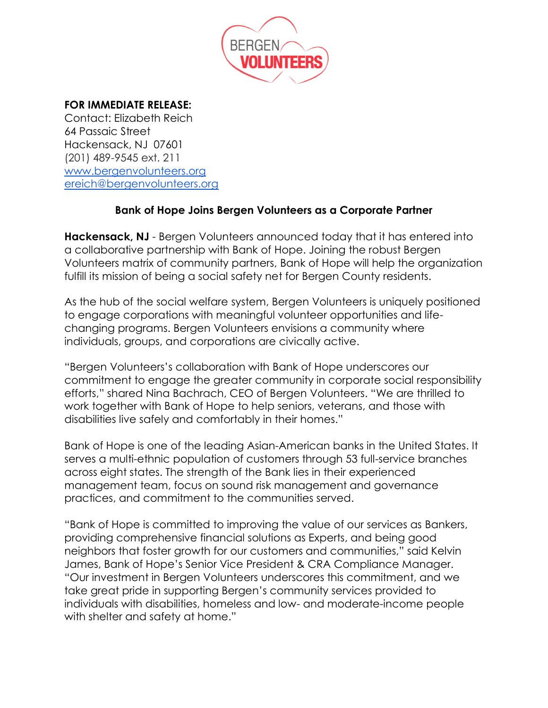

## **FOR IMMEDIATE RELEASE:**

Contact: Elizabeth Reich 64 Passaic Street Hackensack, NJ 07601 (201) 489-9545 ext. 211 [www.bergenvolunteers.org](http://www.bergenvolunteers.org/) [ereich@bergenvolunteers.org](mailto:ereich@bergenvolunteers.org)

## **Bank of Hope Joins Bergen Volunteers as a Corporate Partner**

**Hackensack, NJ** - Bergen Volunteers announced today that it has entered into a collaborative partnership with Bank of Hope. Joining the robust Bergen Volunteers matrix of community partners, Bank of Hope will help the organization fulfill its mission of being a social safety net for Bergen County residents.

As the hub of the social welfare system, Bergen Volunteers is uniquely positioned to engage corporations with meaningful volunteer opportunities and lifechanging programs. Bergen Volunteers envisions a community where individuals, groups, and corporations are civically active.

"Bergen Volunteers's collaboration with Bank of Hope underscores our commitment to engage the greater community in corporate social responsibility efforts," shared Nina Bachrach, CEO of Bergen Volunteers. "We are thrilled to work together with Bank of Hope to help seniors, veterans, and those with disabilities live safely and comfortably in their homes."

Bank of Hope is one of the leading Asian-American banks in the United States. It serves a multi-ethnic population of customers through 53 full-service branches across eight states. The strength of the Bank lies in their experienced management team, focus on sound risk management and governance practices, and commitment to the communities served.

"Bank of Hope is committed to improving the value of our services as Bankers, providing comprehensive financial solutions as Experts, and being good neighbors that foster growth for our customers and communities," said Kelvin James, Bank of Hope's Senior Vice President & CRA Compliance Manager. "Our investment in Bergen Volunteers underscores this commitment, and we take great pride in supporting Bergen's community services provided to individuals with disabilities, homeless and low- and moderate-income people with shelter and safety at home."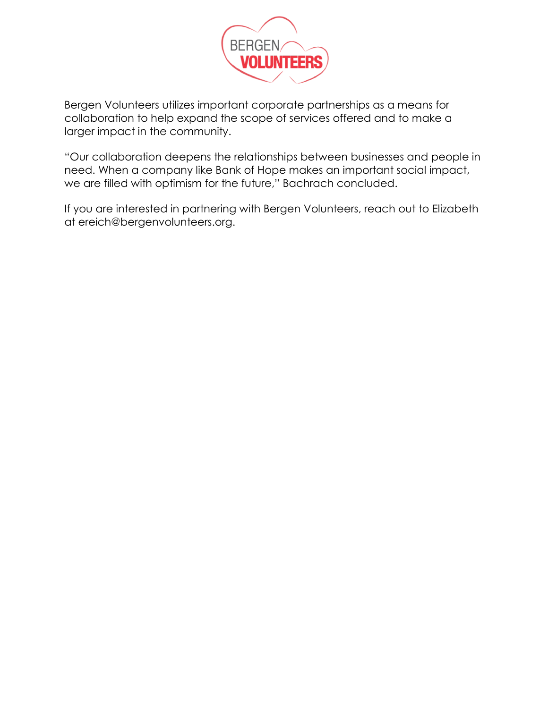

Bergen Volunteers utilizes important corporate partnerships as a means for collaboration to help expand the scope of services offered and to make a larger impact in the community.

"Our collaboration deepens the relationships between businesses and people in need. When a company like Bank of Hope makes an important social impact, we are filled with optimism for the future," Bachrach concluded.

If you are interested in partnering with Bergen Volunteers, reach out to Elizabeth at ereich@bergenvolunteers.org.